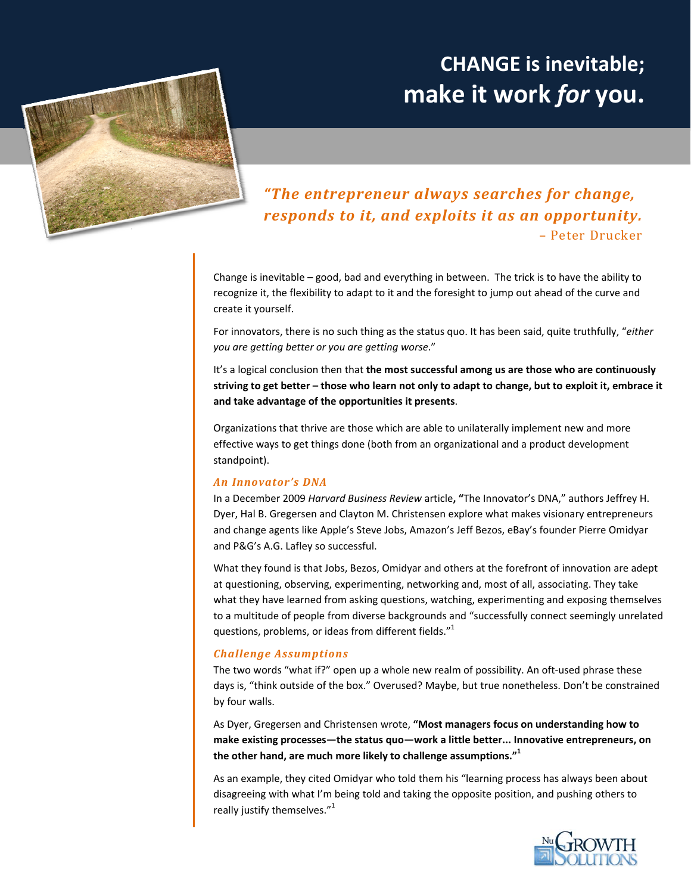# **CHANGE is inevitable; make it work** *for* **you.**



# *"The entrepreneur always searches for change, responds to it, and exploits it as an opportunity.* – Peter Drucker

Change is inevitable – good, bad and everything in between. The trick is to have the ability to recognize it, the flexibility to adapt to it and the foresight to jump out ahead of the curve and create it yourself.

For innovators, there is no such thing as the status quo. It has been said, quite truthfully, "*either you are getting better or you are getting worse*."

It's a logical conclusion then that **the most successful among us are those who are continuously** striving to get better - those who learn not only to adapt to change, but to exploit it, embrace it **and take advantage of the opportunities it presents**.

Organizations that thrive are those which are able to unilaterally implement new and more effective ways to get things done (both from an organizational and a product development standpoint).

# *An Innovator's DNA*

In a December 2009 *Harvard Business Review* article**, "**The Innovator's DNA," authors Jeffrey H. Dyer, Hal B. Gregersen and Clayton M. Christensen explore what makes visionary entrepreneurs and change agents like Apple's Steve Jobs, Amazon's Jeff Bezos, eBay's founder Pierre Omidyar and P&G's A.G. Lafley so successful.

What they found is that Jobs, Bezos, Omidyar and others at the forefront of innovation are adept at questioning, observing, experimenting, networking and, most of all, associating. They take what they have learned from asking questions, watching, experimenting and exposing themselves to a multitude of people from diverse backgrounds and "successfully connect seemingly unrelated questions, problems, or ideas from different fields."<sup>1</sup>

# *Challenge Assumptions*

The two words "what if?" open up a whole new realm of possibility. An oft-used phrase these days is, "think outside of the box." Overused? Maybe, but true nonetheless. Don't be constrained by four walls.

As Dyer, Gregersen and Christensen wrote, **"Most managers focus on understanding how to make existing processes—the status quo—work a little better... Innovative entrepreneurs, on the other hand, are much more likely to challenge assumptions."1**

As an example, they cited Omidyar who told them his "learning process has always been about disagreeing with what I'm being told and taking the opposite position, and pushing others to really justify themselves." $1$